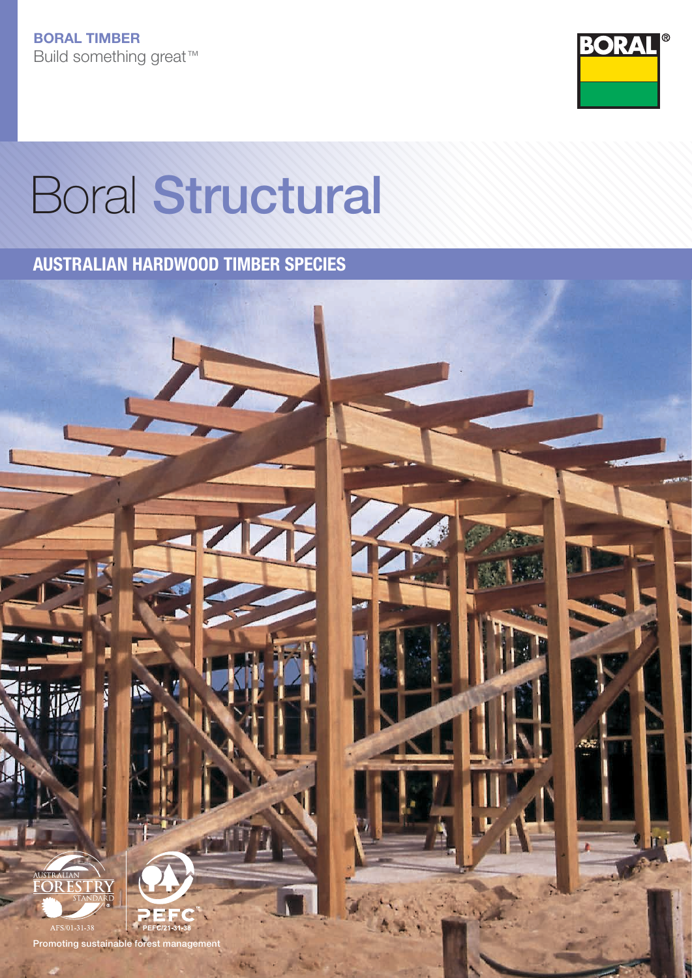

# Boral Structural

AUSTRALIAN HARDWOOD TIMBER SPECIES